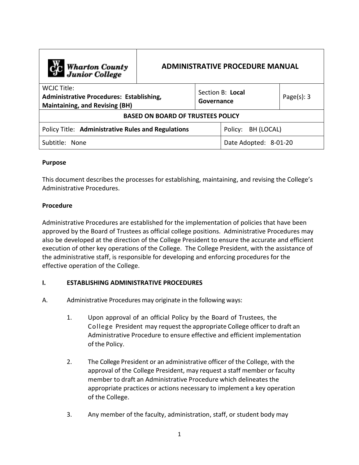| Cic Wharton County<br>Junior College                                                                    | <b>ADMINISTRATIVE PROCEDURE MANUAL</b> |                                |                       |                |  |  |
|---------------------------------------------------------------------------------------------------------|----------------------------------------|--------------------------------|-----------------------|----------------|--|--|
| WCJC Title:<br><b>Administrative Procedures: Establishing,</b><br><b>Maintaining, and Revising (BH)</b> |                                        | Section B: Local<br>Governance |                       | Page $(s)$ : 3 |  |  |
| <b>BASED ON BOARD OF TRUSTEES POLICY</b>                                                                |                                        |                                |                       |                |  |  |
| Policy Title: Administrative Rules and Regulations                                                      |                                        |                                | Policy:<br>BH (LOCAL) |                |  |  |
| Subtitle: None                                                                                          |                                        | Date Adopted: 8-01-20          |                       |                |  |  |

## **Purpose**

This document describes the processes for establishing, maintaining, and revising the College's Administrative Procedures.

## **Procedure**

Administrative Procedures are established for the implementation of policies that have been approved by the Board of Trustees as official college positions. Administrative Procedures may also be developed at the direction of the College President to ensure the accurate and efficient execution of other key operations of the College. The College President, with the assistance of the administrative staff, is responsible for developing and enforcing procedures for the effective operation of the College.

## **I. ESTABLISHING ADMINISTRATIVE PROCEDURES**

- A. Administrative Procedures may originate in the following ways:
	- 1. Upon approval of an official Policy by the Board of Trustees, the College President may request the appropriate College officer to draft an Administrative Procedure to ensure effective and efficient implementation of the Policy.
	- 2. The College President or an administrative officer of the College, with the approval of the College President, may request a staff member or faculty member to draft an Administrative Procedure which delineates the appropriate practices or actions necessary to implement a key operation of the College.
	- 3. Any member of the faculty, administration, staff, or student body may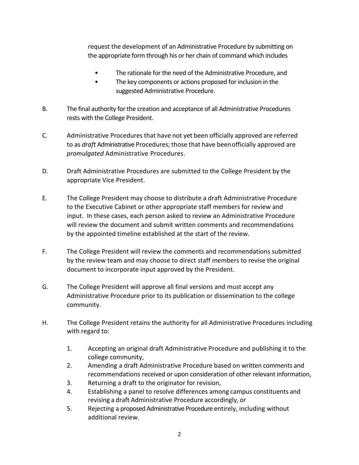request the development of an Administrative Procedure by submitting on the appropriate form through his or her chain of command which includes

- The rationale for the need of the Administrative Procedure, and
- The key components or actions proposed for inclusion in the suggested Administrative Procedure.
- B. The final authority for the creation and acceptance of all Administrative Procedures rests with the College President.
- C. Administrative Procedures that have not yet been officially approved are referred to as *draft* Administrative Procedures; those that have been officially approved are *promulgated* Administrative Procedures.
- D. Draft Administrative Procedures are submitted to the College President by the appropriate Vice President.
- E. The College President may choose to distribute a draft Administrative Procedure to the Executive Cabinet or other appropriate staff members for review and input. In these cases, each person asked to review an Administrative Procedure will review the document and submit written comments and recommendations by the appointed timeline established at the start of the review.
- F. The College President will review the comments and recommendations submitted by the review team and may choose to direct staff members to revise the original document to incorporate input approved by the President.
- G. The College President will approve all final versions and must accept any Administrative Procedure prior to its publication or dissemination to the college community.
- H. The College President retains the authority for all Administrative Procedures including with regard to:
	- 1. Accepting an original draft Administrative Procedure and publishing it to the college community,
	- 2. Amending a draft Administrative Procedure based on written comments and recommendations received or upon consideration of other relevant information,
	- 3. Returning a draft to the originator for revision,
	- 4. Establishing a panel to resolve differences among campus constituents and revising a draft Administrative Procedure accordingly, or
	- 5. Rejecting a proposed Administrative Procedure entirely, including without additional review.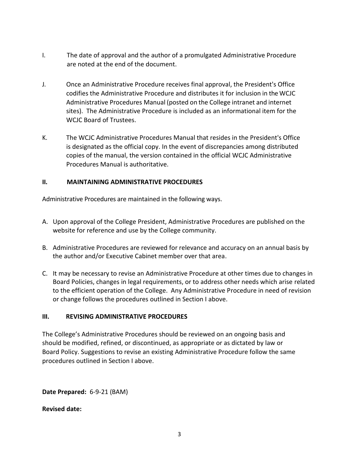- I. The date of approval and the author of a promulgated Administrative Procedure are noted at the end of the document.
- J. Once an Administrative Procedure receives final approval, the President's Office codifies the Administrative Procedure and distributes it for inclusion in the WCJC Administrative Procedures Manual (posted on the College intranet and internet sites). The Administrative Procedure is included as an informational item for the WCJC Board of Trustees.
- K. The WCJC Administrative Procedures Manual that resides in the President's Office is designated as the official copy. In the event of discrepancies among distributed copies of the manual, the version contained in the official WCJC Administrative Procedures Manual is authoritative.

# **II. MAINTAINING ADMINISTRATIVE PROCEDURES**

Administrative Procedures are maintained in the following ways.

- A. Upon approval of the College President, Administrative Procedures are published on the website for reference and use by the College community.
- B. Administrative Procedures are reviewed for relevance and accuracy on an annual basis by the author and/or Executive Cabinet member over that area.
- C. It may be necessary to revise an Administrative Procedure at other times due to changes in Board Policies, changes in legal requirements, or to address other needs which arise related to the efficient operation of the College. Any Administrative Procedure in need of revision or change follows the procedures outlined in Section I above.

## **III. REVISING ADMINISTRATIVE PROCEDURES**

The College's Administrative Procedures should be reviewed on an ongoing basis and should be modified, refined, or discontinued, as appropriate or as dictated by law or Board Policy. Suggestions to revise an existing Administrative Procedure follow the same procedures outlined in Section I above.

**Date Prepared:** 6-9-21 (BAM)

**Revised date:**